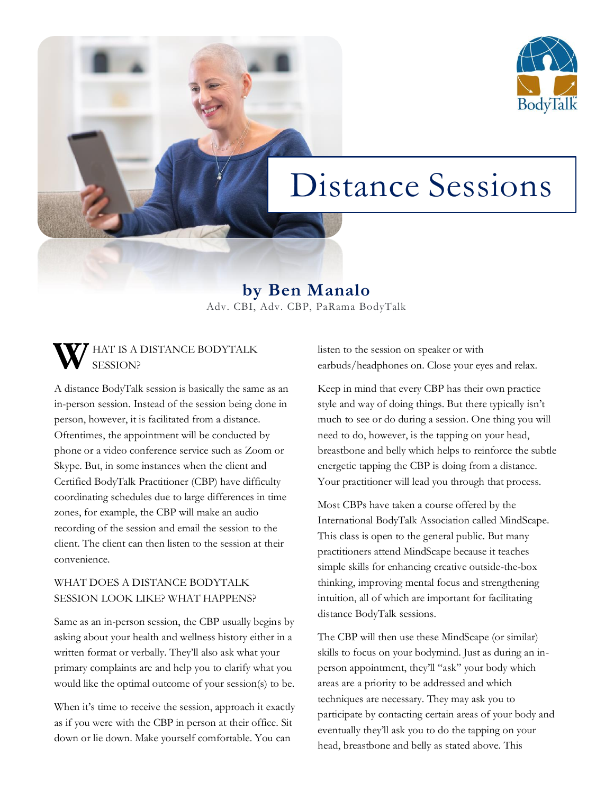

# Distance Sessions

**by Ben Manalo** Adv. CBI, Adv. CBP, PaRama BodyTalk

#### **HAT IS A DISTANCE BODYTALK** SESSION? **W**

A distance BodyTalk session is basically the same as an in-person session. Instead of the session being done in person, however, it is facilitated from a distance. Oftentimes, the appointment will be conducted by phone or a video conference service such as Zoom or Skype. But, in some instances when the client and Certified BodyTalk Practitioner (CBP) have difficulty coordinating schedules due to large differences in time zones, for example, the CBP will make an audio recording of the session and email the session to the client. The client can then listen to the session at their convenience.

## WHAT DOES A DISTANCE BODYTALK SESSION LOOK LIKE? WHAT HAPPENS?

Same as an in-person session, the CBP usually begins by asking about your health and wellness history either in a written format or verbally. They'll also ask what your primary complaints are and help you to clarify what you would like the optimal outcome of your session(s) to be.

When it's time to receive the session, approach it exactly as if you were with the CBP in person at their office. Sit down or lie down. Make yourself comfortable. You can

listen to the session on speaker or with earbuds/headphones on. Close your eyes and relax.

Keep in mind that every CBP has their own practice style and way of doing things. But there typically isn't much to see or do during a session. One thing you will need to do, however, is the tapping on your head, breastbone and belly which helps to reinforce the subtle energetic tapping the CBP is doing from a distance. Your practitioner will lead you through that process.

Most CBPs have taken a course offered by the International BodyTalk Association called MindScape. This class is open to the general public. But many practitioners attend MindScape because it teaches simple skills for enhancing creative outside-the-box thinking, improving mental focus and strengthening intuition, all of which are important for facilitating distance BodyTalk sessions.

The CBP will then use these MindScape (or similar) skills to focus on your bodymind. Just as during an inperson appointment, they'll "ask" your body which areas are a priority to be addressed and which techniques are necessary. They may ask you to participate by contacting certain areas of your body and eventually they'll ask you to do the tapping on your head, breastbone and belly as stated above. This